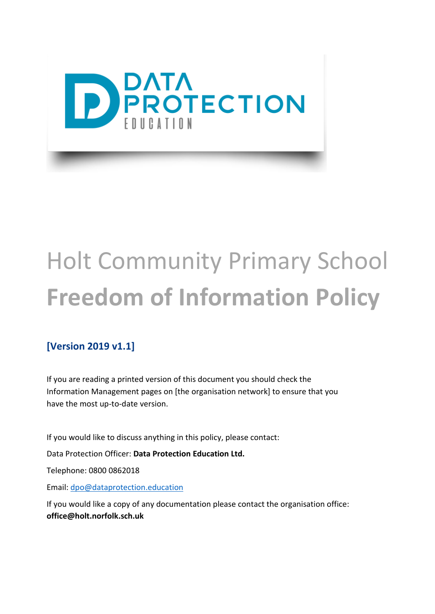

# Holt Community Primary School **Freedom of Information Policy**

#### **[Version 2019 v1.1]**

If you are reading a printed version of this document you should check the Information Management pages on [the organisation network] to ensure that you have the most up-to-date version.

If you would like to discuss anything in this policy, please contact:

Data Protection Officer: **Data Protection Education Ltd.**

Telephone: 0800 0862018

Email: [dpo@dataprotection.education](mailto:dpo@dataprotection.education)

If you would like a copy of any documentation please contact the organisation office: **office@holt.norfolk.sch.uk**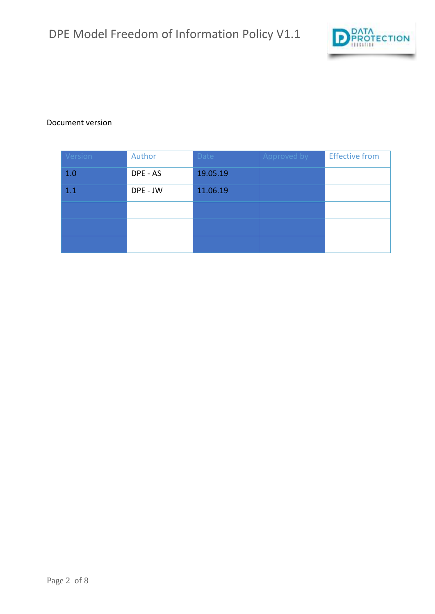

#### Document version

| Version | Author   | Date     | Approved by | <b>Effective from</b> |
|---------|----------|----------|-------------|-----------------------|
| 1.0     | DPE - AS | 19.05.19 |             |                       |
| 1.1     | DPE - JW | 11.06.19 |             |                       |
|         |          |          |             |                       |
|         |          |          |             |                       |
|         |          |          |             |                       |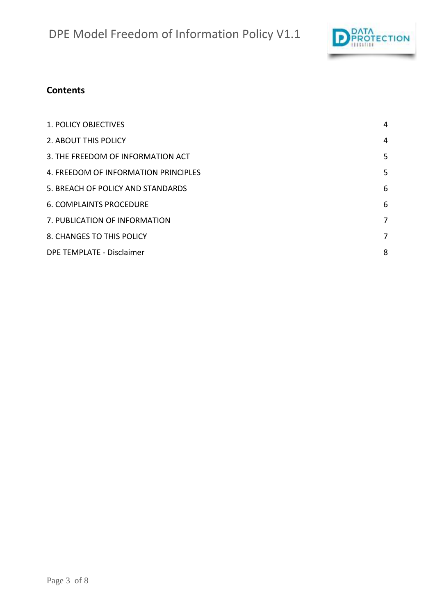

#### **Contents**

| 1. POLICY OBJECTIVES                 | 4 |
|--------------------------------------|---|
| 2. ABOUT THIS POLICY                 | 4 |
| 3. THE FREEDOM OF INFORMATION ACT    | 5 |
| 4. FREEDOM OF INFORMATION PRINCIPLES | 5 |
| 5. BREACH OF POLICY AND STANDARDS    | 6 |
| <b>6. COMPLAINTS PROCEDURE</b>       | 6 |
| 7. PUBLICATION OF INFORMATION        | 7 |
| 8. CHANGES TO THIS POLICY            | 7 |
| DPE TEMPLATE - Disclaimer            | 8 |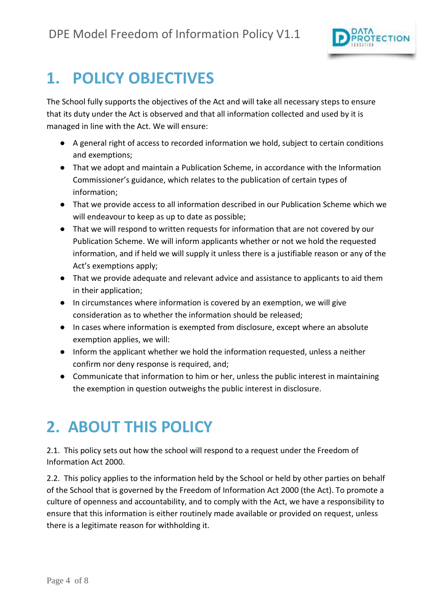

#### <span id="page-3-0"></span>**1. POLICY OBJECTIVES**

The School fully supports the objectives of the Act and will take all necessary steps to ensure that its duty under the Act is observed and that all information collected and used by it is managed in line with the Act. We will ensure:

- A general right of access to recorded information we hold, subject to certain conditions and exemptions;
- That we adopt and maintain a Publication Scheme, in accordance with the Information Commissioner's guidance, which relates to the publication of certain types of information;
- That we provide access to all information described in our Publication Scheme which we will endeavour to keep as up to date as possible;
- That we will respond to written requests for information that are not covered by our Publication Scheme. We will inform applicants whether or not we hold the requested information, and if held we will supply it unless there is a justifiable reason or any of the Act's exemptions apply;
- That we provide adequate and relevant advice and assistance to applicants to aid them in their application;
- In circumstances where information is covered by an exemption, we will give consideration as to whether the information should be released;
- In cases where information is exempted from disclosure, except where an absolute exemption applies, we will:
- Inform the applicant whether we hold the information requested, unless a neither confirm nor deny response is required, and;
- Communicate that information to him or her, unless the public interest in maintaining the exemption in question outweighs the public interest in disclosure.

# <span id="page-3-1"></span>**2. ABOUT THIS POLICY**

2.1. This policy sets out how the school will respond to a request under the Freedom of Information Act 2000.

2.2. This policy applies to the information held by the School or held by other parties on behalf of the School that is governed by the Freedom of Information Act 2000 (the Act). To promote a culture of openness and accountability, and to comply with the Act, we have a responsibility to ensure that this information is either routinely made available or provided on request, unless there is a legitimate reason for withholding it.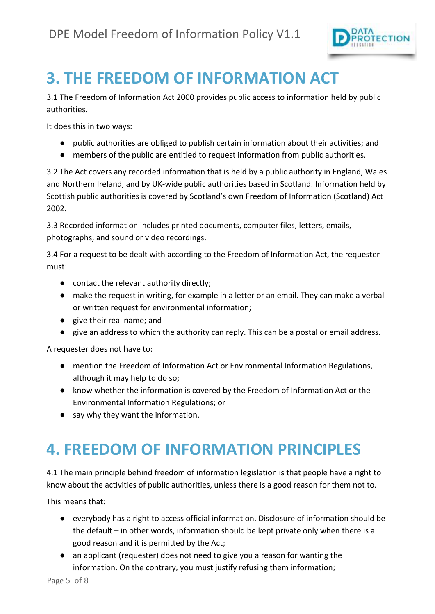

#### <span id="page-4-0"></span>**3. THE FREEDOM OF INFORMATION ACT**

3.1 The Freedom of Information Act 2000 provides public access to information held by public authorities.

It does this in two ways:

- public authorities are obliged to publish certain information about their activities; and
- members of the public are entitled to request information from public authorities.

3.2 The Act covers any recorded information that is held by a public authority in England, Wales and Northern Ireland, and by UK-wide public authorities based in Scotland. Information held by Scottish public authorities is covered by Scotland's own Freedom of Information (Scotland) Act 2002.

3.3 Recorded information includes printed documents, computer files, letters, emails, photographs, and sound or video recordings.

3.4 For a request to be dealt with according to the Freedom of Information Act, the requester must:

- contact the relevant authority directly;
- make the request in writing, for example in a letter or an email. They can make a verbal or written request for environmental information;
- give their real name; and
- give an address to which the authority can reply. This can be a postal or email address.

A requester does not have to:

- mention the Freedom of Information Act or Environmental Information Regulations, although it may help to do so;
- know whether the information is covered by the Freedom of Information Act or the Environmental Information Regulations; or
- say why they want the information.

#### <span id="page-4-1"></span>**4. FREEDOM OF INFORMATION PRINCIPLES**

4.1 The main principle behind freedom of information legislation is that people have a right to know about the activities of public authorities, unless there is a good reason for them not to.

This means that:

- everybody has a right to access official information. Disclosure of information should be the default – in other words, information should be kept private only when there is a good reason and it is permitted by the Act;
- an applicant (requester) does not need to give you a reason for wanting the information. On the contrary, you must justify refusing them information;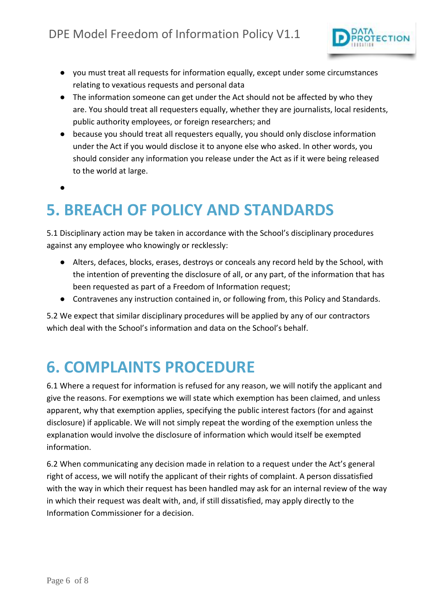

- you must treat all requests for information equally, except under some circumstances relating to vexatious requests and personal data
- The information someone can get under the Act should not be affected by who they are. You should treat all requesters equally, whether they are journalists, local residents, public authority employees, or foreign researchers; and
- because you should treat all requesters equally, you should only disclose information under the Act if you would disclose it to anyone else who asked. In other words, you should consider any information you release under the Act as if it were being released to the world at large.

●

## <span id="page-5-0"></span>**5. BREACH OF POLICY AND STANDARDS**

5.1 Disciplinary action may be taken in accordance with the School's disciplinary procedures against any employee who knowingly or recklessly:

- Alters, defaces, blocks, erases, destroys or conceals any record held by the School, with the intention of preventing the disclosure of all, or any part, of the information that has been requested as part of a Freedom of Information request;
- Contravenes any instruction contained in, or following from, this Policy and Standards.

5.2 We expect that similar disciplinary procedures will be applied by any of our contractors which deal with the School's information and data on the School's behalf.

#### <span id="page-5-1"></span>**6. COMPLAINTS PROCEDURE**

6.1 Where a request for information is refused for any reason, we will notify the applicant and give the reasons. For exemptions we will state which exemption has been claimed, and unless apparent, why that exemption applies, specifying the public interest factors (for and against disclosure) if applicable. We will not simply repeat the wording of the exemption unless the explanation would involve the disclosure of information which would itself be exempted information.

6.2 When communicating any decision made in relation to a request under the Act's general right of access, we will notify the applicant of their rights of complaint. A person dissatisfied with the way in which their request has been handled may ask for an internal review of the way in which their request was dealt with, and, if still dissatisfied, may apply directly to the Information Commissioner for a decision.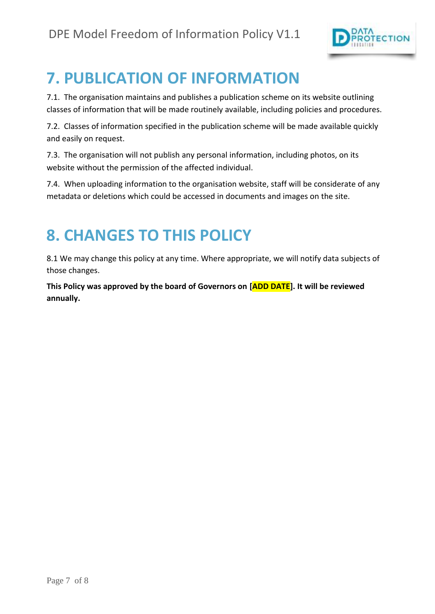

## <span id="page-6-0"></span>**7. PUBLICATION OF INFORMATION**

7.1. The organisation maintains and publishes a publication scheme on its website outlining classes of information that will be made routinely available, including policies and procedures.

7.2. Classes of information specified in the publication scheme will be made available quickly and easily on request.

7.3. The organisation will not publish any personal information, including photos, on its website without the permission of the affected individual.

7.4. When uploading information to the organisation website, staff will be considerate of any metadata or deletions which could be accessed in documents and images on the site.

## <span id="page-6-1"></span>**8. CHANGES TO THIS POLICY**

8.1 We may change this policy at any time. Where appropriate, we will notify data subjects of those changes.

**This Policy was approved by the board of Governors on [ADD DATE]. It will be reviewed annually.**